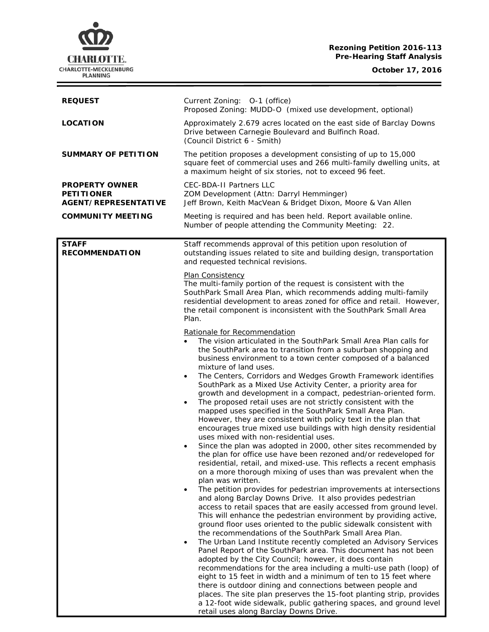# **Rezoning Petition 2016-113 Pre-Hearing Staff Analysis**

**CHARLOTTE.** CHARLOTTE-MECKLENBURG<br>PLANNING

**October 17, 2016**

 $\equiv$ 

| <b>REQUEST</b>                                                            | Current Zoning: 0-1 (office)<br>Proposed Zoning: MUDD-O (mixed use development, optional)                                                                                                                                                                                                                                                                                                                                                                                                                                                                                                                                                                                                                                                                                                                                                                                                                                                                                                                                                                                                                                                                                                                                                                                                                                                                                                                                                                                                                                                                                                                                                                                                                                                                                                                                                                                                                                                                                                                                                                                                                                                     |
|---------------------------------------------------------------------------|-----------------------------------------------------------------------------------------------------------------------------------------------------------------------------------------------------------------------------------------------------------------------------------------------------------------------------------------------------------------------------------------------------------------------------------------------------------------------------------------------------------------------------------------------------------------------------------------------------------------------------------------------------------------------------------------------------------------------------------------------------------------------------------------------------------------------------------------------------------------------------------------------------------------------------------------------------------------------------------------------------------------------------------------------------------------------------------------------------------------------------------------------------------------------------------------------------------------------------------------------------------------------------------------------------------------------------------------------------------------------------------------------------------------------------------------------------------------------------------------------------------------------------------------------------------------------------------------------------------------------------------------------------------------------------------------------------------------------------------------------------------------------------------------------------------------------------------------------------------------------------------------------------------------------------------------------------------------------------------------------------------------------------------------------------------------------------------------------------------------------------------------------|
| <b>LOCATION</b>                                                           | Approximately 2.679 acres located on the east side of Barclay Downs<br>Drive between Carnegie Boulevard and Bulfinch Road.<br>(Council District 6 - Smith)                                                                                                                                                                                                                                                                                                                                                                                                                                                                                                                                                                                                                                                                                                                                                                                                                                                                                                                                                                                                                                                                                                                                                                                                                                                                                                                                                                                                                                                                                                                                                                                                                                                                                                                                                                                                                                                                                                                                                                                    |
| <b>SUMMARY OF PETITION</b>                                                | The petition proposes a development consisting of up to 15,000<br>square feet of commercial uses and 266 multi-family dwelling units, at<br>a maximum height of six stories, not to exceed 96 feet.                                                                                                                                                                                                                                                                                                                                                                                                                                                                                                                                                                                                                                                                                                                                                                                                                                                                                                                                                                                                                                                                                                                                                                                                                                                                                                                                                                                                                                                                                                                                                                                                                                                                                                                                                                                                                                                                                                                                           |
| <b>PROPERTY OWNER</b><br><b>PETITIONER</b><br><b>AGENT/REPRESENTATIVE</b> | <b>CEC-BDA-II Partners LLC</b><br>ZOM Development (Attn: Darryl Hemminger)<br>Jeff Brown, Keith MacVean & Bridget Dixon, Moore & Van Allen                                                                                                                                                                                                                                                                                                                                                                                                                                                                                                                                                                                                                                                                                                                                                                                                                                                                                                                                                                                                                                                                                                                                                                                                                                                                                                                                                                                                                                                                                                                                                                                                                                                                                                                                                                                                                                                                                                                                                                                                    |
| <b>COMMUNITY MEETING</b>                                                  | Meeting is required and has been held. Report available online.<br>Number of people attending the Community Meeting: 22.                                                                                                                                                                                                                                                                                                                                                                                                                                                                                                                                                                                                                                                                                                                                                                                                                                                                                                                                                                                                                                                                                                                                                                                                                                                                                                                                                                                                                                                                                                                                                                                                                                                                                                                                                                                                                                                                                                                                                                                                                      |
| <b>STAFF</b><br><b>RECOMMENDATION</b>                                     | Staff recommends approval of this petition upon resolution of<br>outstanding issues related to site and building design, transportation<br>and requested technical revisions.                                                                                                                                                                                                                                                                                                                                                                                                                                                                                                                                                                                                                                                                                                                                                                                                                                                                                                                                                                                                                                                                                                                                                                                                                                                                                                                                                                                                                                                                                                                                                                                                                                                                                                                                                                                                                                                                                                                                                                 |
|                                                                           | Plan Consistency<br>The multi-family portion of the request is consistent with the<br>SouthPark Small Area Plan, which recommends adding multi-family<br>residential development to areas zoned for office and retail. However,<br>the retail component is inconsistent with the SouthPark Small Area<br>Plan.                                                                                                                                                                                                                                                                                                                                                                                                                                                                                                                                                                                                                                                                                                                                                                                                                                                                                                                                                                                                                                                                                                                                                                                                                                                                                                                                                                                                                                                                                                                                                                                                                                                                                                                                                                                                                                |
|                                                                           | Rationale for Recommendation<br>The vision articulated in the SouthPark Small Area Plan calls for<br>$\bullet$<br>the SouthPark area to transition from a suburban shopping and<br>business environment to a town center composed of a balanced<br>mixture of land uses.<br>The Centers, Corridors and Wedges Growth Framework identifies<br>$\bullet$<br>SouthPark as a Mixed Use Activity Center, a priority area for<br>growth and development in a compact, pedestrian-oriented form.<br>The proposed retail uses are not strictly consistent with the<br>$\bullet$<br>mapped uses specified in the SouthPark Small Area Plan.<br>However, they are consistent with policy text in the plan that<br>encourages true mixed use buildings with high density residential<br>uses mixed with non-residential uses.<br>Since the plan was adopted in 2000, other sites recommended by<br>the plan for office use have been rezoned and/or redeveloped for<br>residential, retail, and mixed-use. This reflects a recent emphasis<br>on a more thorough mixing of uses than was prevalent when the<br>plan was written.<br>The petition provides for pedestrian improvements at intersections<br>and along Barclay Downs Drive. It also provides pedestrian<br>access to retail spaces that are easily accessed from ground level.<br>This will enhance the pedestrian environment by providing active,<br>ground floor uses oriented to the public sidewalk consistent with<br>the recommendations of the SouthPark Small Area Plan.<br>The Urban Land Institute recently completed an Advisory Services<br>$\bullet$<br>Panel Report of the SouthPark area. This document has not been<br>adopted by the City Council; however, it does contain<br>recommendations for the area including a multi-use path (loop) of<br>eight to 15 feet in width and a minimum of ten to 15 feet where<br>there is outdoor dining and connections between people and<br>places. The site plan preserves the 15-foot planting strip, provides<br>a 12-foot wide sidewalk, public gathering spaces, and ground level<br>retail uses along Barclay Downs Drive. |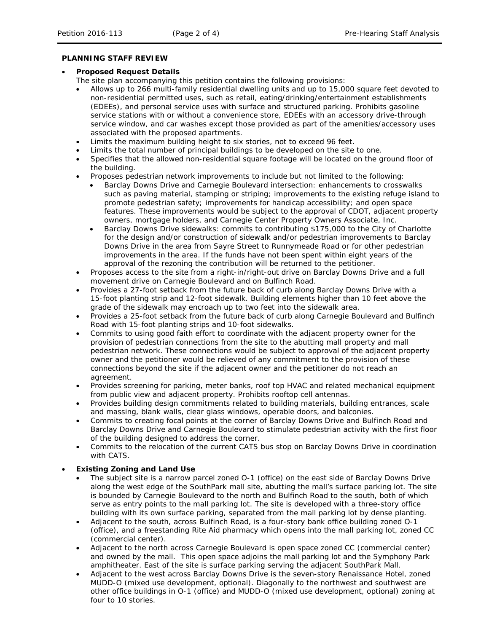### **PLANNING STAFF REVIEW**

### • **Proposed Request Details**

The site plan accompanying this petition contains the following provisions:

- Allows up to 266 multi-family residential dwelling units and up to 15,000 square feet devoted to non-residential permitted uses, such as retail, eating/drinking/entertainment establishments (EDEEs), and personal service uses with surface and structured parking. Prohibits gasoline service stations with or without a convenience store, EDEEs with an accessory drive-through service window, and car washes except those provided as part of the amenities/accessory uses associated with the proposed apartments.
- Limits the maximum building height to six stories, not to exceed 96 feet.
- Limits the total number of principal buildings to be developed on the site to one.
- Specifies that the allowed non-residential square footage will be located on the ground floor of the building.
- Proposes pedestrian network improvements to include but not limited to the following:
	- Barclay Downs Drive and Carnegie Boulevard intersection: enhancements to crosswalks such as paving material, stamping or striping; improvements to the existing refuge island to promote pedestrian safety; improvements for handicap accessibility; and open space features. These improvements would be subject to the approval of CDOT, adjacent property owners, mortgage holders, and Carnegie Center Property Owners Associate, Inc.
	- Barclay Downs Drive sidewalks: commits to contributing \$175,000 to the City of Charlotte for the design and/or construction of sidewalk and/or pedestrian improvements to Barclay Downs Drive in the area from Sayre Street to Runnymeade Road or for other pedestrian improvements in the area. If the funds have not been spent within eight years of the approval of the rezoning the contribution will be returned to the petitioner.
- Proposes access to the site from a right-in/right-out drive on Barclay Downs Drive and a full movement drive on Carnegie Boulevard and on Bulfinch Road.
- Provides a 27-foot setback from the future back of curb along Barclay Downs Drive with a 15-foot planting strip and 12-foot sidewalk. Building elements higher than 10 feet above the grade of the sidewalk may encroach up to two feet into the sidewalk area.
- Provides a 25-foot setback from the future back of curb along Carnegie Boulevard and Bulfinch Road with 15-foot planting strips and 10-foot sidewalks.
- Commits to using good faith effort to coordinate with the adjacent property owner for the provision of pedestrian connections from the site to the abutting mall property and mall pedestrian network. These connections would be subject to approval of the adjacent property owner and the petitioner would be relieved of any commitment to the provision of these connections beyond the site if the adjacent owner and the petitioner do not reach an agreement.
- Provides screening for parking, meter banks, roof top HVAC and related mechanical equipment from public view and adjacent property. Prohibits rooftop cell antennas.
- Provides building design commitments related to building materials, building entrances, scale and massing, blank walls, clear glass windows, operable doors, and balconies.
- Commits to creating focal points at the corner of Barclay Downs Drive and Bulfinch Road and Barclay Downs Drive and Carnegie Boulevard to stimulate pedestrian activity with the first floor of the building designed to address the corner.
- Commits to the relocation of the current CATS bus stop on Barclay Downs Drive in coordination with CATS.

# • **Existing Zoning and Land Use**

- The subject site is a narrow parcel zoned O-1 (office) on the east side of Barclay Downs Drive along the west edge of the SouthPark mall site, abutting the mall's surface parking lot. The site is bounded by Carnegie Boulevard to the north and Bulfinch Road to the south, both of which serve as entry points to the mall parking lot. The site is developed with a three-story office building with its own surface parking, separated from the mall parking lot by dense planting.
- Adjacent to the south, across Bulfinch Road, is a four-story bank office building zoned O-1 (office), and a freestanding Rite Aid pharmacy which opens into the mall parking lot, zoned CC (commercial center).
- Adjacent to the north across Carnegie Boulevard is open space zoned CC (commercial center) and owned by the mall. This open space adjoins the mall parking lot and the Symphony Park amphitheater. East of the site is surface parking serving the adjacent SouthPark Mall.
- Adjacent to the west across Barclay Downs Drive is the seven-story Renaissance Hotel, zoned MUDD-O (mixed use development, optional). Diagonally to the northwest and southwest are other office buildings in O-1 (office) and MUDD-O (mixed use development, optional) zoning at four to 10 stories.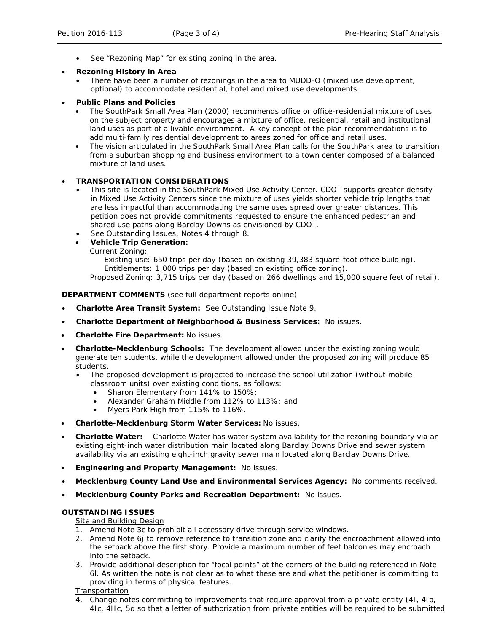See "Rezoning Map" for existing zoning in the area.

# • **Rezoning History in Area**

• There have been a number of rezonings in the area to MUDD-O (mixed use development, optional) to accommodate residential, hotel and mixed use developments.

## • **Public Plans and Policies**

- The *SouthPark Small Area* Plan (2000) recommends office or office-residential mixture of uses on the subject property and encourages a mixture of office, residential, retail and institutional land uses as part of a livable environment. A key concept of the plan recommendations is to add multi-family residential development to areas zoned for office and retail uses.
- The vision articulated in the *SouthPark Small Area Plan* calls for the SouthPark area to transition from a suburban shopping and business environment to a town center composed of a balanced mixture of land uses.

# • **TRANSPORTATION CONSIDERATIONS**

- This site is located in the SouthPark Mixed Use Activity Center. CDOT supports greater density in Mixed Use Activity Centers since the mixture of uses yields shorter vehicle trip lengths that are less impactful than accommodating the same uses spread over greater distances. This petition does not provide commitments requested to ensure the enhanced pedestrian and shared use paths along Barclay Downs as envisioned by CDOT.
- See Outstanding Issues, Notes 4 through 8.
- **Vehicle Trip Generation:**

Current Zoning:

Existing use: 650 trips per day (based on existing 39,383 square-foot office building). Entitlements: 1,000 trips per day (based on existing office zoning).

Proposed Zoning: 3,715 trips per day (based on 266 dwellings and 15,000 square feet of retail).

## **DEPARTMENT COMMENTS** (see full department reports online)

- **Charlotte Area Transit System:** See Outstanding Issue Note 9.
- **Charlotte Department of Neighborhood & Business Services:** No issues.
- **Charlotte Fire Department:** No issues.
- **Charlotte-Mecklenburg Schools:** The development allowed under the existing zoning would generate ten students, while the development allowed under the proposed zoning will produce 85 students.
	- The proposed development is projected to increase the school utilization (without mobile classroom units) over existing conditions, as follows:
		- Sharon Elementary from 141% to 150%;
		- Alexander Graham Middle from 112% to 113%; and
		- Myers Park High from 115% to 116%.
- **Charlotte-Mecklenburg Storm Water Services:** No issues.
- **Charlotte Water:** Charlotte Water has water system availability for the rezoning boundary via an existing eight-inch water distribution main located along Barclay Downs Drive and sewer system availability via an existing eight-inch gravity sewer main located along Barclay Downs Drive.
- **Engineering and Property Management:** No issues.
- **Mecklenburg County Land Use and Environmental Services Agency:** No comments received.
- **Mecklenburg County Parks and Recreation Department:** No issues.

### **OUTSTANDING ISSUES**

# **Site and Building Design**

- 1. Amend Note 3c to prohibit all accessory drive through service windows.
- 2. Amend Note 6j to remove reference to transition zone and clarify the encroachment allowed into the setback above the first story. Provide a maximum number of feet balconies may encroach into the setback.
- 3. Provide additional description for "focal points" at the corners of the building referenced in Note 6l. As written the note is not clear as to what these are and what the petitioner is committing to providing in terms of physical features.

### **Transportation**

4. Change notes committing to improvements that require approval from a private entity (4I, 4Ib, 4Ic, 4IIc, 5d so that a letter of authorization from private entities will be required to be submitted